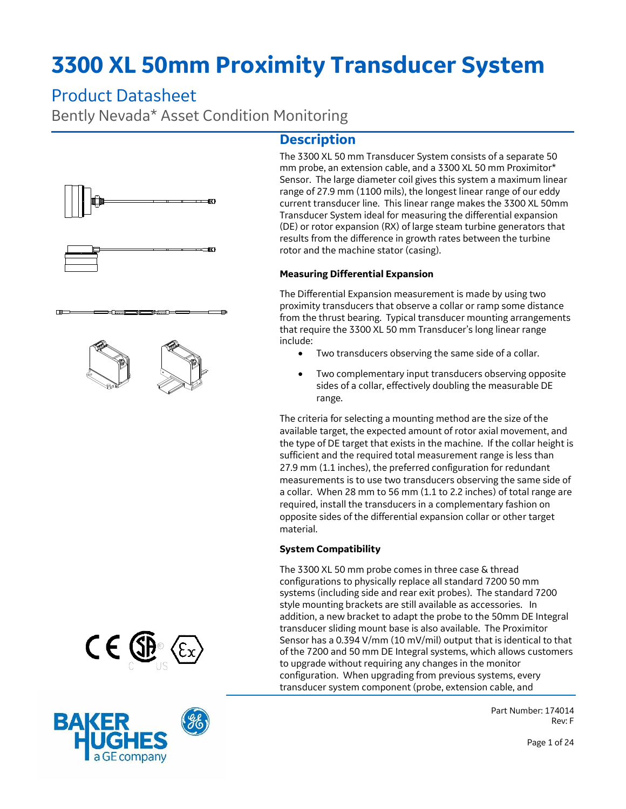# **3300 XL 50mm Proximity Transducer System**

## Product Datasheet

Bently Nevada\* Asset Condition Monitoring

m

m

## **Description**



#### **Measuring Differential Expansion**

The Differential Expansion measurement is made by using two proximity transducers that observe a collar or ramp some distance from the thrust bearing. Typical transducer mounting arrangements that require the 3300 XL 50 mm Transducer's long linear range include:

- Two transducers observing the same side of a collar.
- Two complementary input transducers observing opposite sides of a collar, effectively doubling the measurable DE range.

The criteria for selecting a mounting method are the size of the available target, the expected amount of rotor axial movement, and the type of DE target that exists in the machine. If the collar height is sufficient and the required total measurement range is less than 27.9 mm (1.1 inches), the preferred configuration for redundant measurements is to use two transducers observing the same side of a collar. When 28 mm to 56 mm (1.1 to 2.2 inches) of total range are required, install the transducers in a complementary fashion on opposite sides of the differential expansion collar or other target material.

#### **System Compatibility**

The 3300 XL 50 mm probe comes in three case & thread configurations to physically replace all standard 7200 50 mm systems (including side and rear exit probes). The standard 7200 style mounting brackets are still available as accessories. In addition, a new bracket to adapt the probe to the 50mm DE Integral transducer sliding mount base is also available. The Proximitor Sensor has a 0.394 V/mm (10 mV/mil) output that is identical to that of the 7200 and 50 mm DE Integral systems, which allows customers to upgrade without requiring any changes in the monitor configuration. When upgrading from previous systems, every transducer system component (probe, extension cable, and

> Part Number: 174014 Rev: F

Page 1 of 24



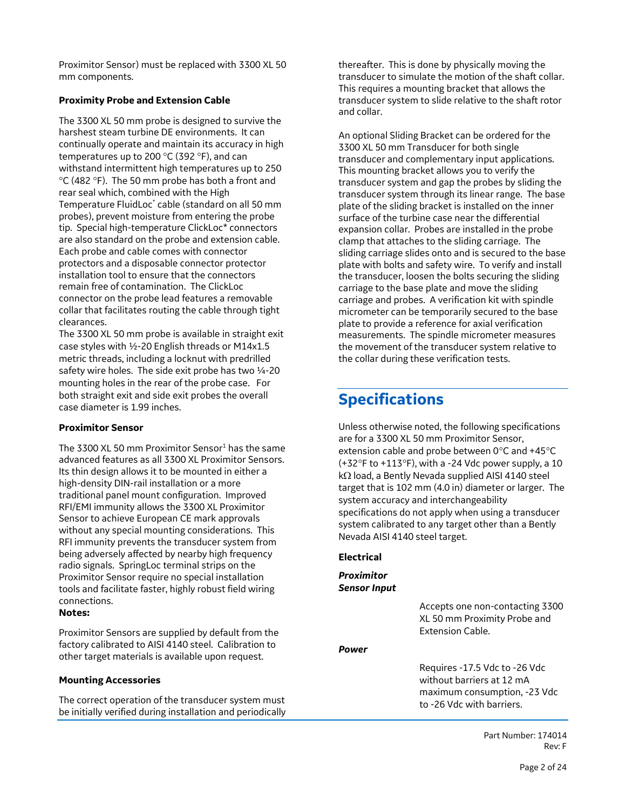Proximitor Sensor) must be replaced with 3300 XL 50 mm components.

#### **Proximity Probe and Extension Cable**

The 3300 XL 50 mm probe is designed to survive the harshest steam turbine DE environments. It can continually operate and maintain its accuracy in high temperatures up to 200  $^{\circ}$ C (392  $^{\circ}$ F), and can withstand intermittent high temperatures up to 250  $\degree$ C (482  $\degree$ F). The 50 mm probe has both a front and rear seal which, combined with the High Temperature FluidLoc\* cable (standard on all 50 mm probes), prevent moisture from entering the probe tip. Special high-temperature ClickLoc\* connectors are also standard on the probe and extension cable. Each probe and cable comes with connector protectors and a disposable connector protector installation tool to ensure that the connectors remain free of contamination. The ClickLoc connector on the probe lead features a removable collar that facilitates routing the cable through tight clearances.

The 3300 XL 50 mm probe is available in straight exit case styles with ½-20 English threads or M14x1.5 metric threads, including a locknut with predrilled safety wire holes. The side exit probe has two  $\frac{1}{4}$ -20 mounting holes in the rear of the probe case. For both straight exit and side exit probes the overall case diameter is 1.99 inches.

#### **Proximitor Sensor**

The 3300 XL 50 mm Proximitor Sensor $1$  has the same advanced features as all 3300 XL Proximitor Sensors. Its thin design allows it to be mounted in either a high-density DIN-rail installation or a more traditional panel mount configuration. Improved RFI/EMI immunity allows the 3300 XL Proximitor Sensor to achieve European CE mark approvals without any special mounting considerations. This RFI immunity prevents the transducer system from being adversely affected by nearby high frequency radio signals. SpringLoc terminal strips on the Proximitor Sensor require no special installation tools and facilitate faster, highly robust field wiring connections.

#### **Notes:**

Proximitor Sensors are supplied by default from the factory calibrated to AISI 4140 steel. Calibration to other target materials is available upon request.

#### **Mounting Accessories**

The correct operation of the transducer system must be initially verified during installation and periodically thereafter. This is done by physically moving the transducer to simulate the motion of the shaft collar. This requires a mounting bracket that allows the transducer system to slide relative to the shaft rotor and collar.

An optional Sliding Bracket can be ordered for the 3300 XL 50 mm Transducer for both single transducer and complementary input applications. This mounting bracket allows you to verify the transducer system and gap the probes by sliding the transducer system through its linear range. The base plate of the sliding bracket is installed on the inner surface of the turbine case near the differential expansion collar. Probes are installed in the probe clamp that attaches to the sliding carriage. The sliding carriage slides onto and is secured to the base plate with bolts and safety wire. To verify and install the transducer, loosen the bolts securing the sliding carriage to the base plate and move the sliding carriage and probes. A verification kit with spindle micrometer can be temporarily secured to the base plate to provide a reference for axial verification measurements. The spindle micrometer measures the movement of the transducer system relative to the collar during these verification tests.

## **Specifications**

Unless otherwise noted, the following specifications are for a 3300 XL 50 mm Proximitor Sensor, extension cable and probe between  $0^{\circ}$ C and +45 $^{\circ}$ C  $(+32^{\circ}F$  to  $+113^{\circ}F)$ , with a -24 Vdc power supply, a 10  $k\Omega$  load, a Bently Nevada supplied AISI 4140 steel target that is 102 mm (4.0 in) diameter or larger. The system accuracy and interchangeability specifications do not apply when using a transducer system calibrated to any target other than a Bently Nevada AISI 4140 steel target.

#### **Electrical**

#### *Proximitor Sensor Input*

Accepts one non-contacting 3300 XL 50 mm Proximity Probe and Extension Cable.

#### *Power*

Requires -17.5 Vdc to -26 Vdc without barriers at 12 mA maximum consumption, -23 Vdc to -26 Vdc with barriers.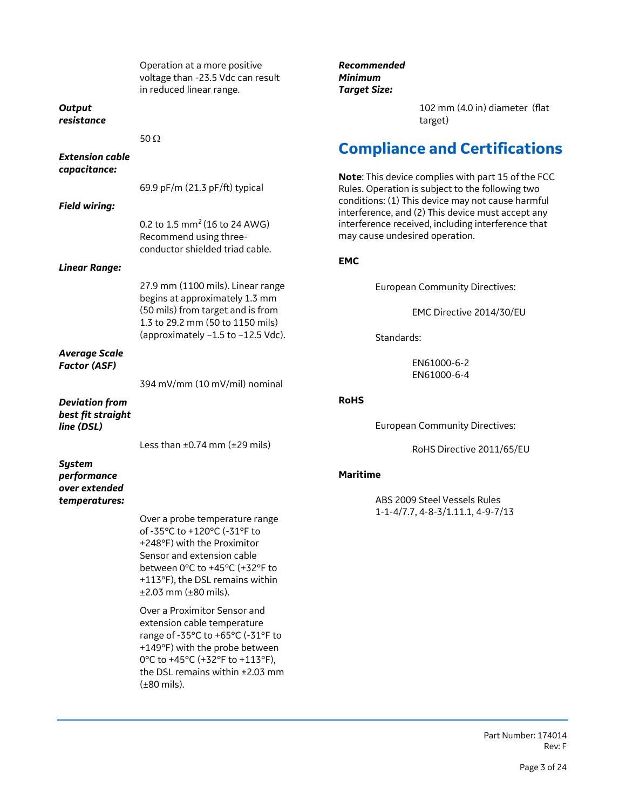|                                               | Operation at a more positive<br>voltage than -23.5 Vdc can result<br>in reduced linear range.                                                                                                                                          | Recommended<br><b>Minimum</b><br><b>Target Size:</b>                                                                                                                                                             |
|-----------------------------------------------|----------------------------------------------------------------------------------------------------------------------------------------------------------------------------------------------------------------------------------------|------------------------------------------------------------------------------------------------------------------------------------------------------------------------------------------------------------------|
| <b>Output</b><br>resistance                   |                                                                                                                                                                                                                                        | 102 mm (4.0 in) diameter (flat<br>target)                                                                                                                                                                        |
|                                               | 50 $\Omega$                                                                                                                                                                                                                            |                                                                                                                                                                                                                  |
| <b>Extension cable</b><br>capacitance:        |                                                                                                                                                                                                                                        | <b>Compliance and Certifications</b>                                                                                                                                                                             |
| <b>Field wiring:</b>                          | 69.9 pF/m (21.3 pF/ft) typical                                                                                                                                                                                                         | Note: This device complies with part 15 of the FCC<br>Rules. Operation is subject to the following two<br>conditions: (1) This device may not cause harmful<br>interference, and (2) This device must accept any |
|                                               | 0.2 to 1.5 mm <sup>2</sup> (16 to 24 AWG)<br>Recommend using three-<br>conductor shielded triad cable.                                                                                                                                 | interference received, including interference that<br>may cause undesired operation.                                                                                                                             |
| <b>Linear Range:</b>                          |                                                                                                                                                                                                                                        | <b>EMC</b>                                                                                                                                                                                                       |
|                                               | 27.9 mm (1100 mils). Linear range<br>begins at approximately 1.3 mm                                                                                                                                                                    | <b>European Community Directives:</b>                                                                                                                                                                            |
|                                               | (50 mils) from target and is from<br>1.3 to 29.2 mm (50 to 1150 mils)                                                                                                                                                                  | EMC Directive 2014/30/EU                                                                                                                                                                                         |
|                                               | (approximately -1.5 to -12.5 Vdc).                                                                                                                                                                                                     | Standards:                                                                                                                                                                                                       |
| <b>Average Scale</b><br><b>Factor (ASF)</b>   |                                                                                                                                                                                                                                        | EN61000-6-2<br>EN61000-6-4                                                                                                                                                                                       |
|                                               | 394 mV/mm (10 mV/mil) nominal                                                                                                                                                                                                          |                                                                                                                                                                                                                  |
| <b>Deviation from</b><br>best fit straight    |                                                                                                                                                                                                                                        | <b>RoHS</b>                                                                                                                                                                                                      |
| line (DSL)                                    |                                                                                                                                                                                                                                        | <b>European Community Directives:</b>                                                                                                                                                                            |
|                                               | Less than $\pm 0.74$ mm ( $\pm 29$ mils)                                                                                                                                                                                               | RoHS Directive 2011/65/EU                                                                                                                                                                                        |
| <b>System</b><br>performance<br>over extended | <b>Maritime</b>                                                                                                                                                                                                                        |                                                                                                                                                                                                                  |
| temperatures:                                 |                                                                                                                                                                                                                                        | ABS 2009 Steel Vessels Rules<br>1-1-4/7.7, 4-8-3/1.11.1, 4-9-7/13                                                                                                                                                |
|                                               | Over a probe temperature range<br>of -35°C to +120°C (-31°F to<br>+248°F) with the Proximitor<br>Sensor and extension cable<br>between 0°C to +45°C (+32°F to<br>+113°F), the DSL remains within<br>$±2.03$ mm ( $±80$ mils).          |                                                                                                                                                                                                                  |
|                                               | Over a Proximitor Sensor and<br>extension cable temperature<br>range of -35°C to +65°C (-31°F to<br>+149°F) with the probe between<br>0°C to +45°C (+32°F to +113°F),<br>the DSL remains within ±2.03 mm<br>$(\pm 80 \text{ miles})$ . |                                                                                                                                                                                                                  |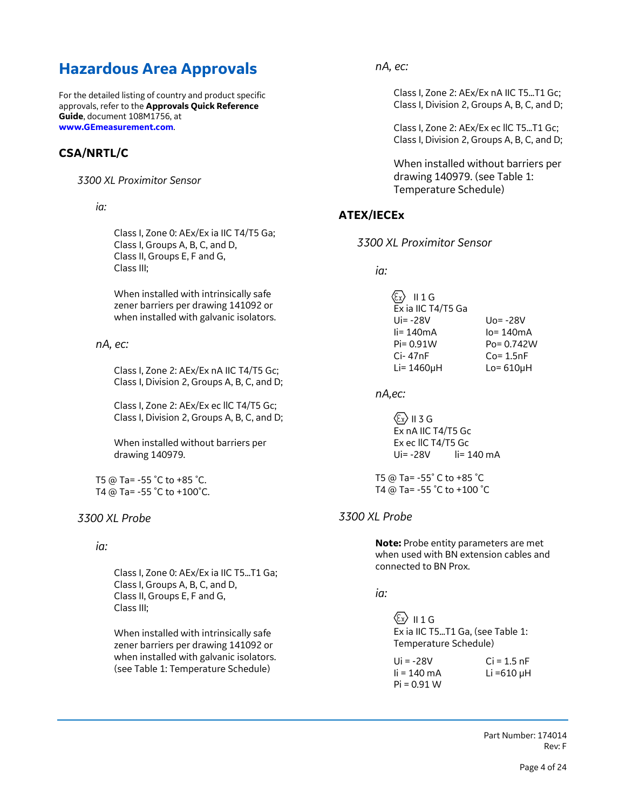## **Hazardous Area Approvals**

For the detailed listing of country and product specific approvals, refer to the **Approvals Quick Reference Guide**, document 108M1756, at **[www.GEmeasurement.com](http://www.gemeasurement.com/)**.

### **CSA/NRTL/C**

*3300 XL Proximitor Sensor* 

*ia:*

Class I, Zone 0: AEx/Ex ia IIC T4/T5 Ga; Class I, Groups A, B, C, and D, Class II, Groups E, F and G, Class III;

When installed with intrinsically safe zener barriers per drawing 141092 or when installed with galvanic isolators.

#### *nA, ec:*

Class I, Zone 2: AEx/Ex nA IIC T4/T5 Gc; Class I, Division 2, Groups A, B, C, and D;

Class I, Zone 2: AEx/Ex ec llC T4/T5 Gc; Class I, Division 2, Groups A, B, C, and D;

When installed without barriers per drawing 140979.

T5 @ Ta= -55 ˚C to +85 ˚C. T4 @ Ta= -55 ˚C to +100˚C.

#### *3300 XL Probe*

#### *ia:*

Class I, Zone 0: AEx/Ex ia IIC T5…T1 Ga; Class I, Groups A, B, C, and D, Class II, Groups E, F and G, Class III;

When installed with intrinsically safe zener barriers per drawing 141092 or when installed with galvanic isolators. (see Table 1: Temperature Schedule)

*nA, ec:*

Class I, Zone 2: AEx/Ex nA IIC T5…T1 Gc; Class I, Division 2, Groups A, B, C, and D;

Class I, Zone 2: AEx/Ex ec llC T5…T1 Gc; Class I, Division 2, Groups A, B, C, and D;

When installed without barriers per drawing 140979. (see Table 1: Temperature Schedule)

### **ATEX/IECEx**

*3300 XL Proximitor Sensor*

*ia:*

| $\overline{\epsilon_{\mathbf{x}}}$ II 1 G |                 |
|-------------------------------------------|-----------------|
| Ex ia IIC T4/T5 Ga                        |                 |
| Ui= -28V                                  | $Uo = -28V$     |
| $\mathsf{li} = 140 \mathsf{mA}$           | $lo = 140mA$    |
| $Pi = 0.91W$                              | $Po = 0.742W$   |
| $Ci-47nF$                                 | $Co = 1.5nF$    |
| Li= 1460µH                                | $Lo = 610\mu H$ |

*nA,ec:*

 $\langle \epsilon_x \rangle$  II 3 G Ex nA IIC T4/T5 Gc Ex ec llC T4/T5 Gc Ui= -28V li= 140 mA

T5 @ Ta= -55˚ C to +85 ˚C T4 @ Ta= -55 ˚C to +100 ˚C

#### *3300 XL Probe*

**Note:** Probe entity parameters are met when used with BN extension cables and connected to BN Prox.

*ia:*

 $\langle \overline{\epsilon_x} \rangle$  || 1 G Ex ia IIC T5…T1 Ga, (see Table 1: Temperature Schedule)

| Ui = $-28V$            | $Ci = 1.5 nF$   |
|------------------------|-----------------|
| $\mathsf{li}$ = 140 mA | Li =610 $\mu$ H |
| $Pi = 0.91 W$          |                 |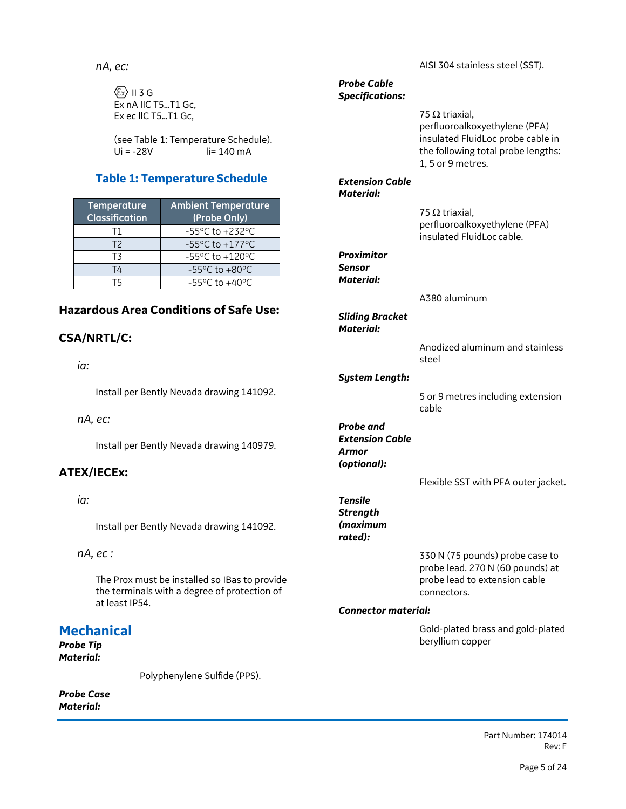*nA, ec:*

 $\langle \xi_{X} \rangle$  II 3 G Ex nA IIC T5…T1 Gc, Ex ec llC T5…T1 Gc,

(see Table 1: Temperature Schedule).  $Ui = -28V$   $\qquad$   $\qquad$   $i = 140 \text{ mA}$ 

## **Table 1: Temperature Schedule**

| Temperature<br><b>Classification</b> | <b>Ambient Temperature</b><br>(Probe Only)           |  |
|--------------------------------------|------------------------------------------------------|--|
| Т1                                   | $-55^{\circ}$ C to $+232^{\circ}$ C                  |  |
| T2                                   | $-55^{\circ}$ C to $+177^{\circ}$ C                  |  |
| T3                                   | $-55^{\circ}$ C to $+120^{\circ}$ C                  |  |
| T4                                   | -55 $\mathrm{^{\circ}C}$ to +80 $\mathrm{^{\circ}C}$ |  |
|                                      | $-55^{\circ}$ C to $+40^{\circ}$ C                   |  |

## **Hazardous Area Conditions of Safe Use:**

## **CSA/NRTL/C:**

*ia:*

Install per Bently Nevada drawing 141092.

*nA, ec:*

Install per Bently Nevada drawing 140979.

## **ATEX/IECEx:**

### *ia:*

Install per Bently Nevada drawing 141092.

*nA, ec :*

The Prox must be installed so IBas to provide the terminals with a degree of protection of at least IP54.

## **Mechanical**

*Probe Tip Material:*

Polyphenylene Sulfide (PPS).

*Probe Case Material:*

AISI 304 stainless steel (SST).

#### *Probe Cable Specifications:*

75  $\Omega$  triaxial, perfluoroalkoxyethylene (PFA) insulated FluidLoc probe cable in the following total probe lengths: 1, 5 or 9 metres.

#### *Extension Cable Material:*

75  $\Omega$  triaxial, perfluoroalkoxyethylene (PFA) insulated FluidLoc cable.

## *Proximitor Sensor*

*Material:*

## A380 aluminum

*Sliding Bracket Material:*

> Anodized aluminum and stainless steel

#### *System Length:*

5 or 9 metres including extension cable

*Probe and Extension Cable Armor (optional):*

Flexible SST with PFA outer jacket.

*Tensile Strength (maximum rated):*

> 330 N (75 pounds) probe case to probe lead. 270 N (60 pounds) at probe lead to extension cable connectors.

#### *Connector material:*

Gold-plated brass and gold-plated beryllium copper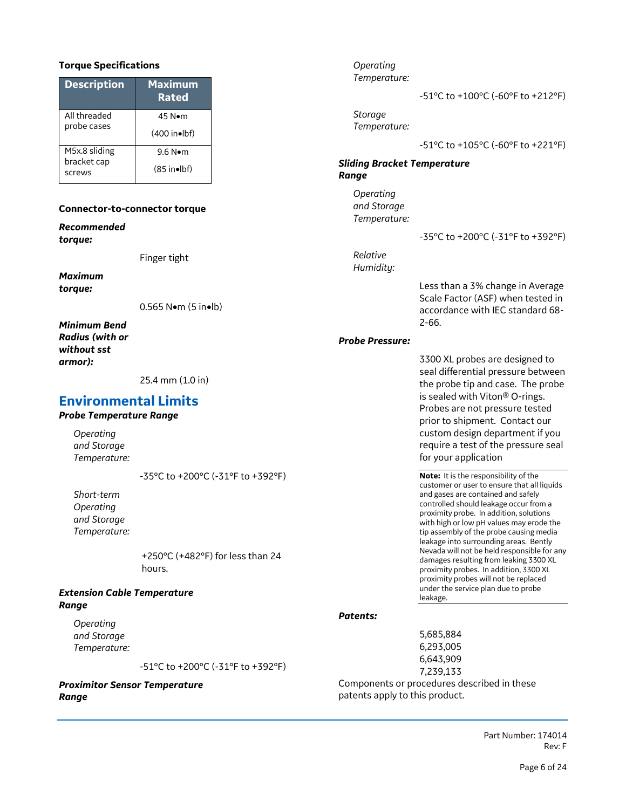#### **Torque Specifications**

| <b>Description</b>           | <b>Maximum</b><br><b>Rated</b> |  |
|------------------------------|--------------------------------|--|
| All threaded                 | 45 N•m                         |  |
| probe cases                  | $(400 \text{ in} \bullet)$     |  |
| M5x.8 sliding<br>bracket cap | 9.6 N●m                        |  |
| screws                       | $(85$ in•lbf)                  |  |

#### **Connector-to-connector torque**

*Recommended torque:* 

Finger tight

*Maximum torque:*

0.565 N•m (5 in•lb)

*Minimum Bend Radius (with or without sst armor):*

25.4 mm (1.0 in)

### **Environmental Limits**

#### *Probe Temperature Range*

*Operating and Storage Temperature:*

-35°C to +200°C (-31°F to +392°F)

*Short-term Operating and Storage Temperature:*

> +250°C (+482°F) for less than 24 hours.

#### *Extension Cable Temperature Range*

*Operating and Storage Temperature:*

-51°C to +200°C (-31°F to +392°F)

#### *Proximitor Sensor Temperature Range*

*Operating Temperature:* -51°C to +100°C (-60°F to +212°F) *Storage Temperature:* -51°C to +105°C (-60°F to +221°F) *Sliding Bracket Temperature Range Operating and Storage Temperature:* -35°C to +200°C (-31°F to +392°F) *Relative Humidity:* Less than a 3% change in Average Scale Factor (ASF) when tested in accordance with IEC standard 68- 2-66. *Probe Pressure:* 3300 XL probes are designed to seal differential pressure between the probe tip and case. The probe is sealed with Viton® O-rings. Probes are not pressure tested prior to shipment. Contact our custom design department if you require a test of the pressure seal for your application **Note:** It is the responsibility of the customer or user to ensure that all liquids and gases are contained and safely controlled should leakage occur from a proximity probe. In addition, solutions with high or low pH values may erode the tip assembly of the probe causing media leakage into surrounding areas. Bently

Nevada will not be held responsible for any damages resulting from leaking 3300 XL proximity probes. In addition, 3300 XL proximity probes will not be replaced under the service plan due to probe leakage.

#### *Patents:*

5,685,884 6,293,005 6,643,909 7,239,133 Components or procedures described in these patents apply to this product.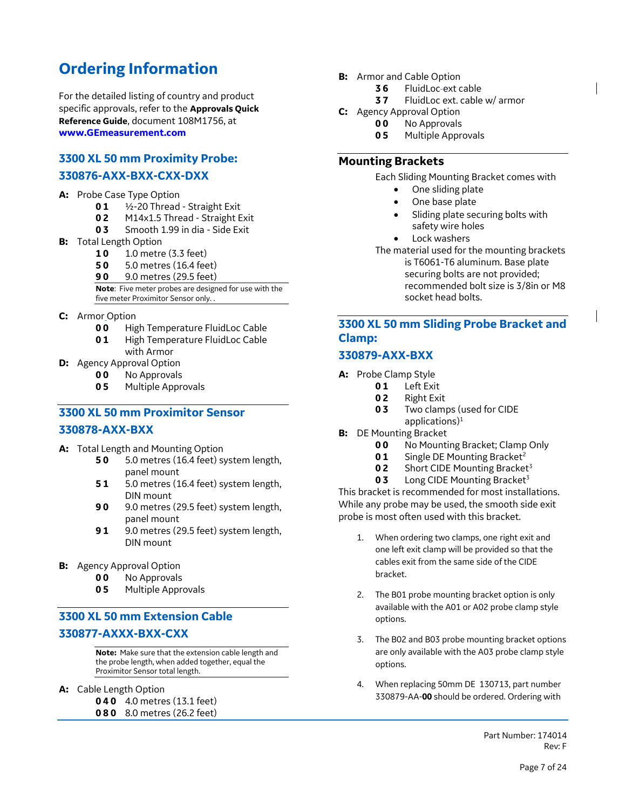## **Ordering Information**

For the detailed listing of country and product specific approvals, refer to the **Approvals Quick Reference Guide**, document 108M1756, at **[www.GEmeasurement.com](http://www.gemeasurement.com/)**

## **3300 XL 50 mm Proximity Probe:**

### **330876-AXX-BXX-CXX-DXX**

#### **A:** Probe Case Type Option

- **0 1** ½-20 Thread Straight Exit
- **0 2** M14x1.5 Thread Straight Exit
- **0 3** Smooth 1.99 in dia Side Exit
- **B:** Total Length Option
	- **1 0** 1.0 metre (3.3 feet)
	- **5 0** 5.0 metres (16.4 feet)
	- **9 0** 9.0 metres (29.5 feet)

**Note**: Five meter probes are designed for use with the five meter Proximitor Sensor only. .

- **C:** Armor Option
	- **0 0** High Temperature FluidLoc Cable
	- **0 1** High Temperature FluidLoc Cable with Armor
- **D:** Agency Approval Option
	- **0 0** No Approvals
	- **0 5** Multiple Approvals

## **3300 XL 50 mm Proximitor Sensor 330878-AXX-BXX**

- **A:** Total Length and Mounting Option
	- **5 0** 5.0 metres (16.4 feet) system length, panel mount
	- **5 1** 5.0 metres (16.4 feet) system length, DIN mount
	- **9 0** 9.0 metres (29.5 feet) system length, panel mount
	- **9 1** 9.0 metres (29.5 feet) system length, DIN mount
- **B:** Agency Approval Option
	- **0 0** No Approvals
	- **0 5** Multiple Approvals

## **3300 XL 50 mm Extension Cable 330877-AXXX-BXX-CXX**

**Note:** Make sure that the extension cable length and the probe length, when added together, equal the Proximitor Sensor total length.

**A:** Cable Length Option

**0 4 0** 4.0 metres (13.1 feet) **0 8 0** 8.0 metres (26.2 feet)

- **B:** Armor and Cable Option
	- **3 6** FluidLoc ext cable
	- **3 7** FluidLoc ext. cable w/ armor
- **C:** Agency Approval Option
	- **0 0** No Approvals
		- **0 5** Multiple Approvals

#### **Mounting Brackets**

Each Sliding Mounting Bracket comes with

- One sliding plate
- One base plate
- Sliding plate securing bolts with safety wire holes
- Lock washers

The material used for the mounting brackets is T6061-T6 aluminum. Base plate securing bolts are not provided; recommended bolt size is 3/8in or M8 socket head bolts.

## **3300 XL 50 mm Sliding Probe Bracket and Clamp:**

#### **330879-AXX-BXX**

- **A:** Probe Clamp Style
	- **0 1** Left Exit
	- **0 2** Right Exit
	- **0 3** Two clamps (used for CIDE
	- applications) $1$
- **B:** DE Mounting Bracket
	- **00** No Mounting Bracket; Clamp Only
	- **01** Single DE Mounting Bracket<sup>2</sup>
	- **02** Short CIDE Mounting Bracket<sup>3</sup>
	- **03** Long CIDE Mounting Bracket<sup>3</sup>

This bracket is recommended for most installations. While any probe may be used, the smooth side exit probe is most often used with this bracket.

- 1. When ordering two clamps, one right exit and one left exit clamp will be provided so that the cables exit from the same side of the CIDE bracket.
- 2. The B01 probe mounting bracket option is only available with the A01 or A02 probe clamp style options.
- 3. The B02 and B03 probe mounting bracket options are only available with the A03 probe clamp style options.
- 4. When replacing 50mm DE 130713, part number 330879-AA-**00** should be ordered. Ordering with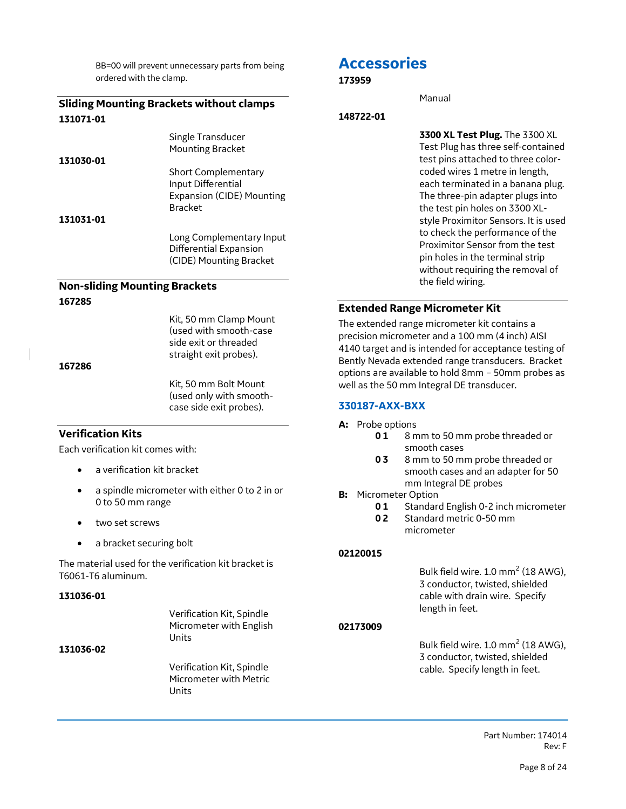BB=00 will prevent unnecessary parts from being ordered with the clamp.

#### **Sliding Mounting Brackets without clamps 131071-01**

|           | Single Transducer                |
|-----------|----------------------------------|
|           | <b>Mounting Bracket</b>          |
| 131030-01 |                                  |
|           | <b>Short Complementary</b>       |
|           | Input Differential               |
|           | <b>Expansion (CIDE) Mounting</b> |
|           | <b>Bracket</b>                   |
| 131031-01 |                                  |
|           | Long Complementary Input         |

Differential Expansion (CIDE) Mounting Bracket

## **Non-sliding Mounting Brackets 167285**

Kit, 50 mm Clamp Mount (used with smooth-case side exit or threaded straight exit probes).

**167286**

Kit, 50 mm Bolt Mount (used only with smoothcase side exit probes).

#### **Verification Kits**

Each verification kit comes with:

- a verification kit bracket
- a spindle micrometer with either 0 to 2 in or 0 to 50 mm range
- two set screws
- a bracket securing bolt

The material used for the verification kit bracket is T6061-T6 aluminum.

#### **131036-01**

|           | Verification Kit, Spindle<br>Micrometer with English<br>Units |
|-----------|---------------------------------------------------------------|
| 131036-02 |                                                               |
|           | Verification Kit, Spindle<br>Micrometer with Metric<br>Units  |

## **Accessories**

#### **173959**

Manual

#### **148722-01**

**3300 XL Test Plug.** The 3300 XL Test Plug has three self-contained test pins attached to three colorcoded wires 1 metre in length, each terminated in a banana plug. The three-pin adapter plugs into the test pin holes on 3300 XLstyle Proximitor Sensors. It is used to check the performance of the Proximitor Sensor from the test pin holes in the terminal strip without requiring the removal of the field wiring.

#### **Extended Range Micrometer Kit**

The extended range micrometer kit contains a precision micrometer and a 100 mm (4 inch) AISI 4140 target and is intended for acceptance testing of Bently Nevada extended range transducers. Bracket options are available to hold 8mm – 50mm probes as well as the 50 mm Integral DE transducer.

## **330187-AXX-BXX**

- **A:** Probe options
	- **0 1** 8 mm to 50 mm probe threaded or smooth cases
	- **0 3** 8 mm to 50 mm probe threaded or smooth cases and an adapter for 50 mm Integral DE probes
- **B:** Micrometer Option
	- **01** Standard English 0-2 inch micrometer
	- **0 2** Standard metric 0-50 mm micrometer

#### **02120015**

Bulk field wire.  $1.0 \text{ mm}^2$  (18 AWG), 3 conductor, twisted, shielded cable with drain wire. Specify length in feet.

#### **02173009**

Bulk field wire. 1.0 mm<sup>2</sup> (18 AWG), 3 conductor, twisted, shielded cable. Specify length in feet.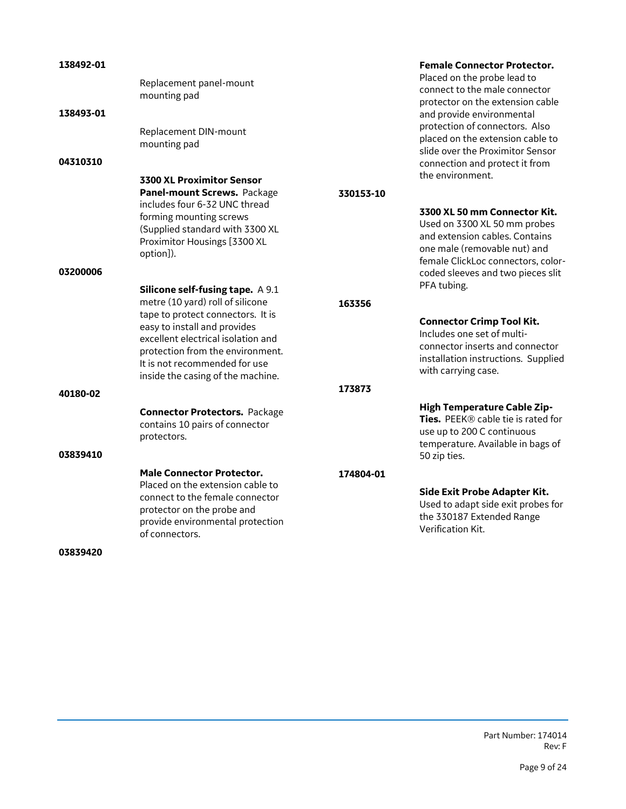| 138492-01<br>138493-01 | Replacement panel-mount<br>mounting pad<br>Replacement DIN-mount<br>mounting pad                                                                                                                                                                                                                 |                  | <b>Female Connector Protector.</b><br>Placed on the probe lead to<br>connect to the male connector<br>protector on the extension cable<br>and provide environmental<br>protection of connectors. Also<br>placed on the extension cable to<br>slide over the Proximitor Sensor |
|------------------------|--------------------------------------------------------------------------------------------------------------------------------------------------------------------------------------------------------------------------------------------------------------------------------------------------|------------------|-------------------------------------------------------------------------------------------------------------------------------------------------------------------------------------------------------------------------------------------------------------------------------|
| 04310310               | <b>3300 XL Proximitor Sensor</b><br>Panel-mount Screws. Package<br>includes four 6-32 UNC thread<br>forming mounting screws<br>(Supplied standard with 3300 XL<br>Proximitor Housings [3300 XL<br>option]).                                                                                      | 330153-10        | connection and protect it from<br>the environment.<br>3300 XL 50 mm Connector Kit.<br>Used on 3300 XL 50 mm probes<br>and extension cables. Contains<br>one male (removable nut) and<br>female ClickLoc connectors, color-                                                    |
| 03200006<br>40180-02   | <b>Silicone self-fusing tape.</b> A 9.1<br>metre (10 yard) roll of silicone<br>tape to protect connectors. It is<br>easy to install and provides<br>excellent electrical isolation and<br>protection from the environment.<br>It is not recommended for use<br>inside the casing of the machine. | 163356<br>173873 | coded sleeves and two pieces slit<br>PFA tubing.<br><b>Connector Crimp Tool Kit.</b><br>Includes one set of multi-<br>connector inserts and connector<br>installation instructions. Supplied<br>with carrying case.                                                           |
| 03839410               | <b>Connector Protectors.</b> Package<br>contains 10 pairs of connector<br>protectors.                                                                                                                                                                                                            |                  | <b>High Temperature Cable Zip-</b><br>Ties. PEEK® cable tie is rated for<br>use up to 200 C continuous<br>temperature. Available in bags of<br>50 zip ties.                                                                                                                   |
| 03839420               | <b>Male Connector Protector.</b><br>Placed on the extension cable to<br>connect to the female connector<br>protector on the probe and<br>provide environmental protection<br>of connectors.                                                                                                      | 174804-01        | Side Exit Probe Adapter Kit.<br>Used to adapt side exit probes for<br>the 330187 Extended Range<br>Verification Kit.                                                                                                                                                          |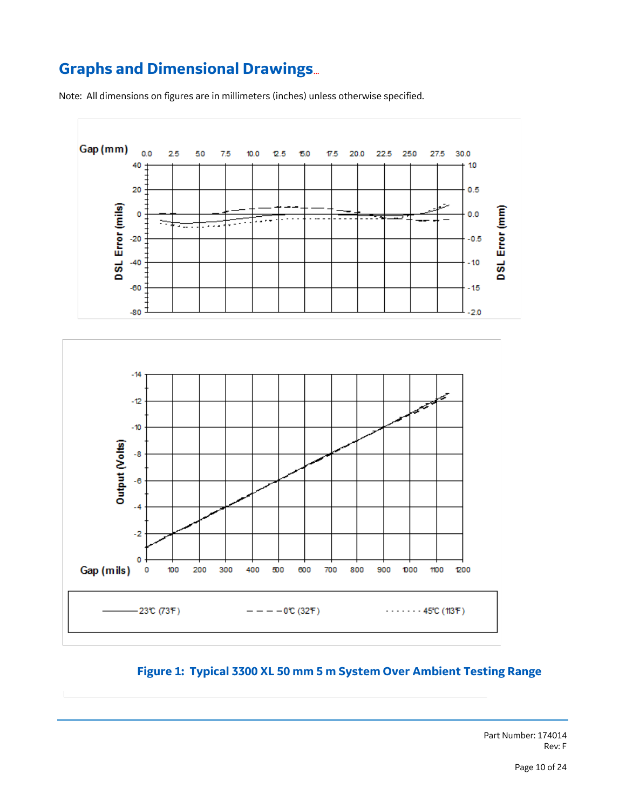## **Graphs and Dimensional Drawings**…

Note: All dimensions on figures are in millimeters (inches) unless otherwise specified.



## **Figure 1: Typical 3300 XL 50 mm 5 m System Over Ambient Testing Range**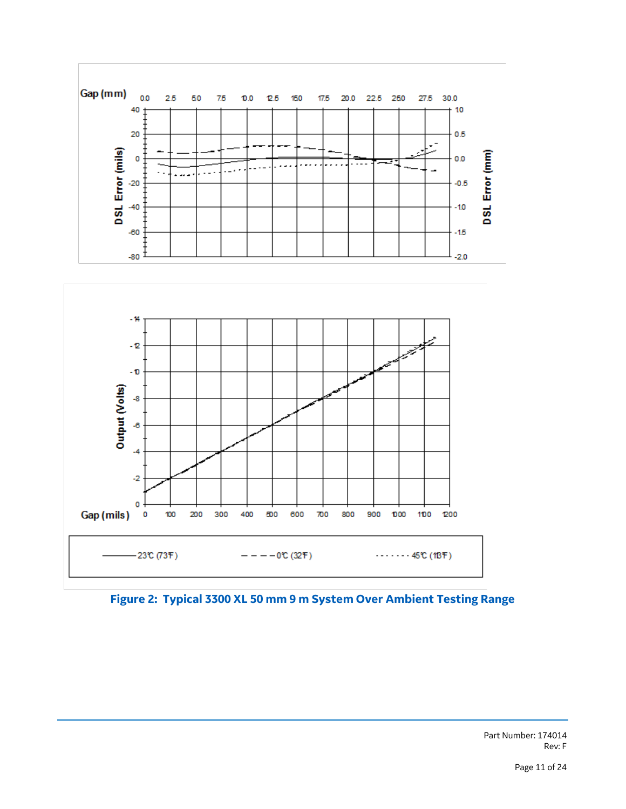

**Figure 2: Typical 3300 XL 50 mm 9 m System Over Ambient Testing Range**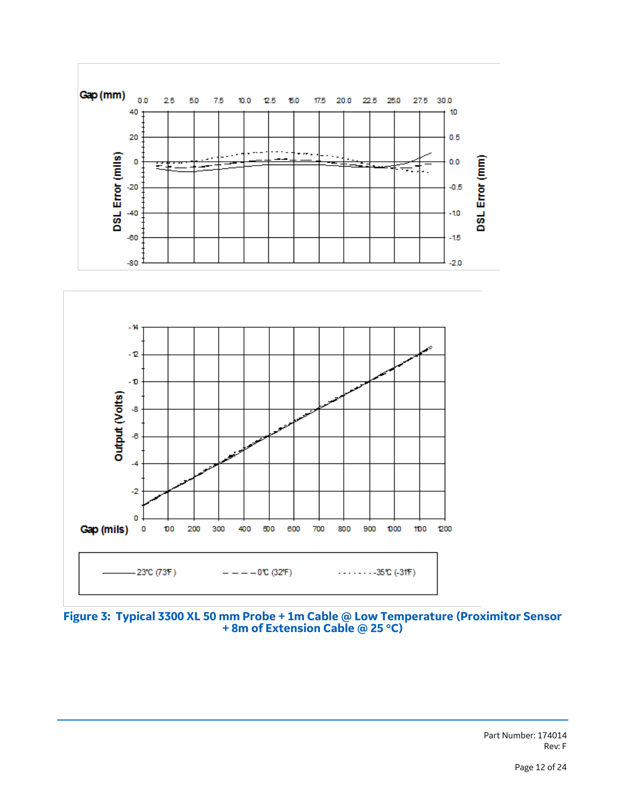

**Figure 3: Typical 3300 XL 50 mm Probe + 1m Cable @ Low Temperature (Proximitor Sensor + 8m of Extension Cable @ 25 C)**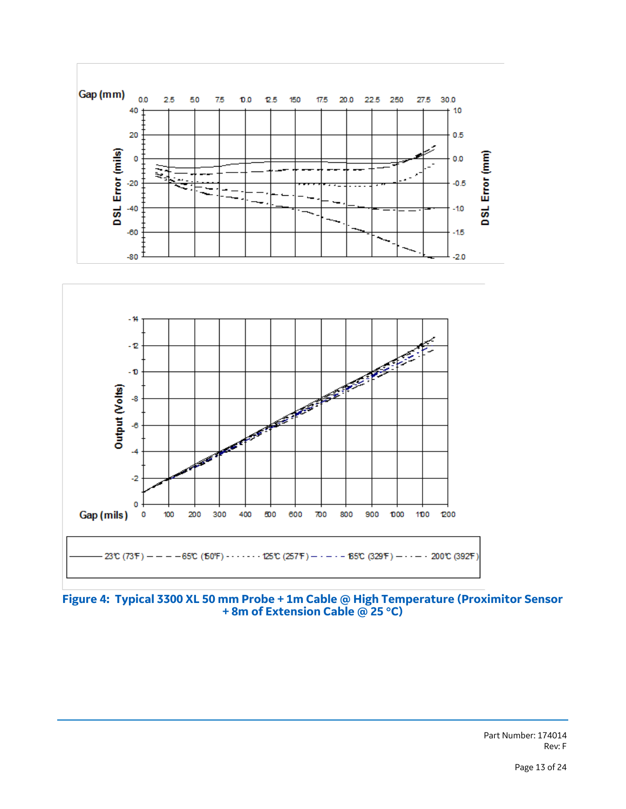

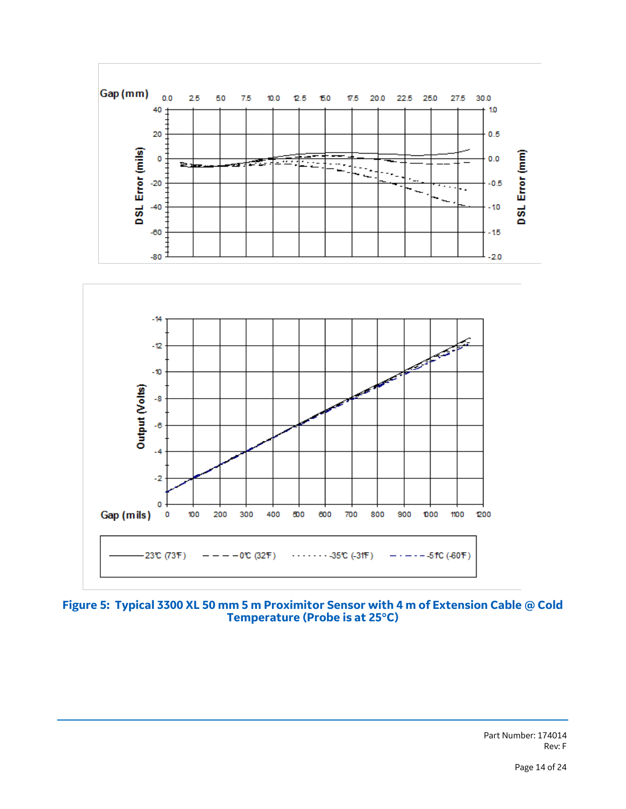

**Figure 5: Typical 3300 XL 50 mm 5 m Proximitor Sensor with 4 m of Extension Cable @ Cold Temperature (Probe is at 25C)**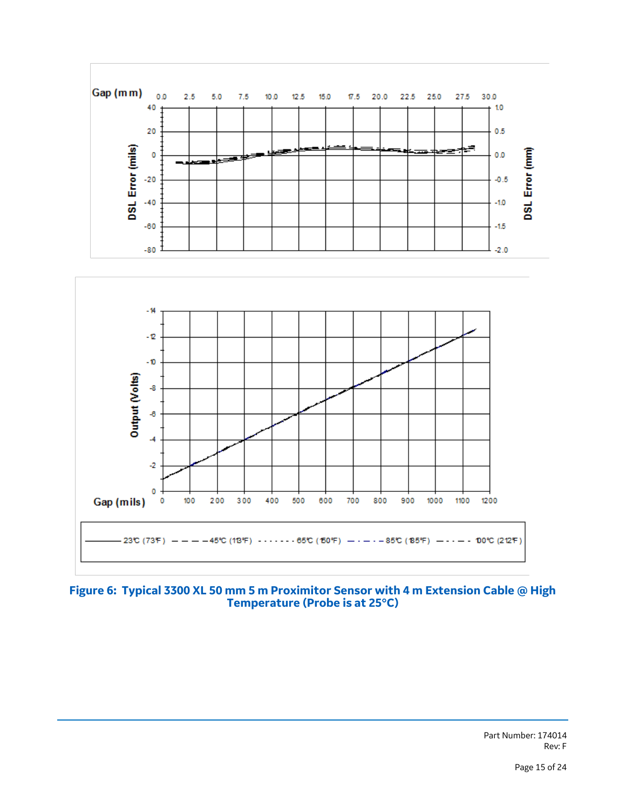

#### **Figure 6: Typical 3300 XL 50 mm 5 m Proximitor Sensor with 4 m Extension Cable @ High Temperature (Probe is at 25C)**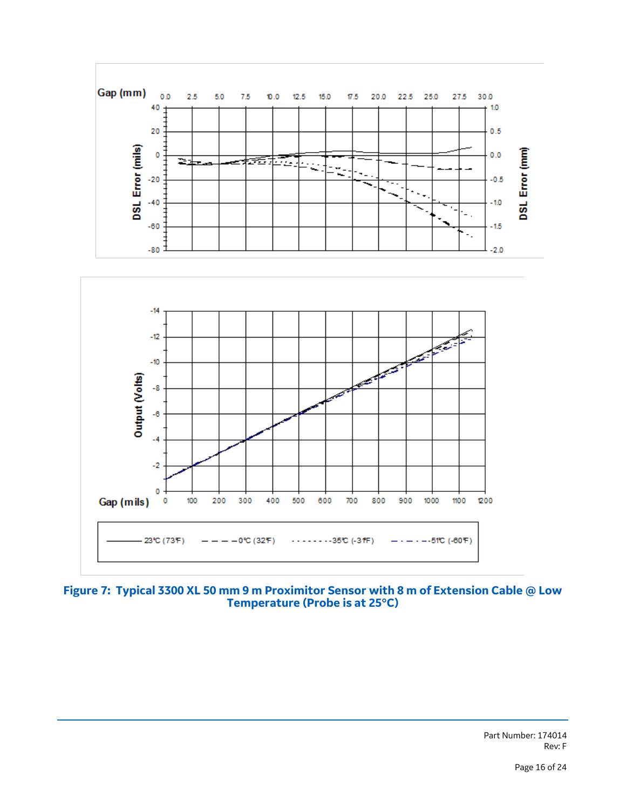

**Figure 7: Typical 3300 XL 50 mm 9 m Proximitor Sensor with 8 m of Extension Cable @ Low Temperature (Probe is at 25C)**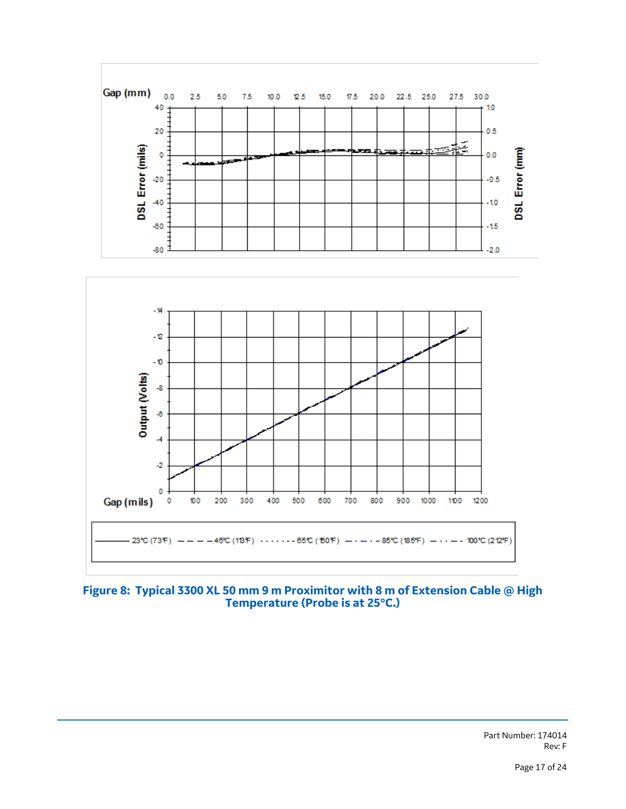

### **Figure 8: Typical 3300 XL 50 mm 9 m Proximitor with 8 m of Extension Cable @ High Temperature (Probe is at 25C.)**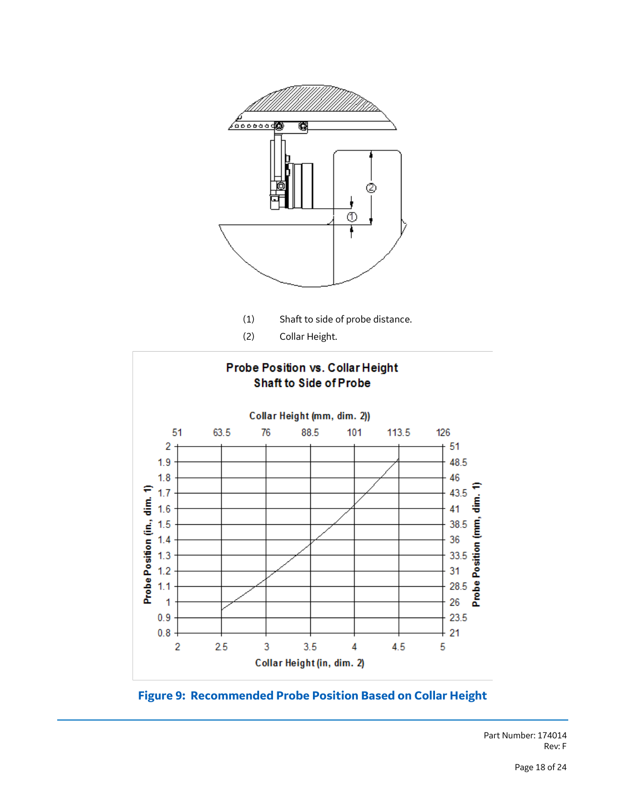

**Figure 9: Recommended Probe Position Based on Collar Height**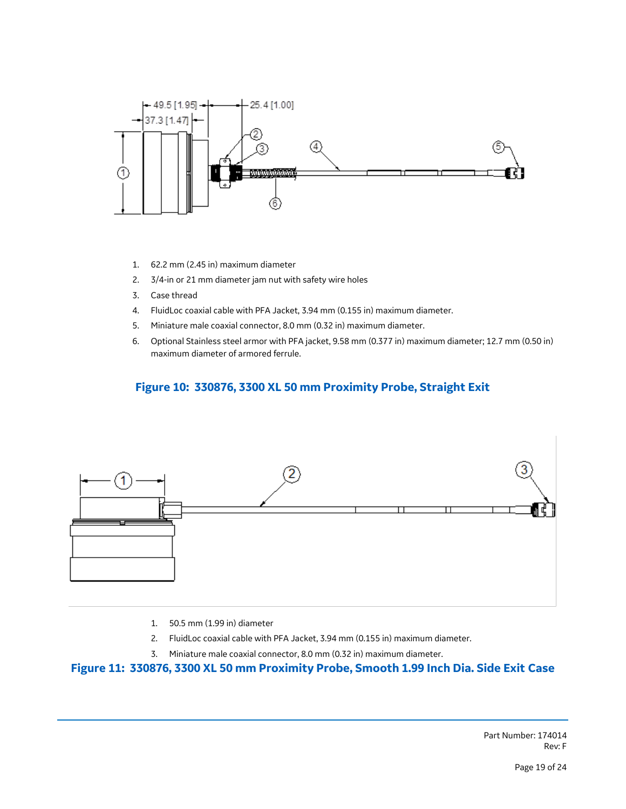

- 1. 62.2 mm (2.45 in) maximum diameter
- 2. 3/4-in or 21 mm diameter jam nut with safety wire holes
- 3. Case thread
- 4. FluidLoc coaxial cable with PFA Jacket, 3.94 mm (0.155 in) maximum diameter.
- 5. Miniature male coaxial connector, 8.0 mm (0.32 in) maximum diameter.
- 6. Optional Stainless steel armor with PFA jacket, 9.58 mm (0.377 in) maximum diameter; 12.7 mm (0.50 in) maximum diameter of armored ferrule.

## **Figure 10: 330876, 3300 XL 50 mm Proximity Probe, Straight Exit**



- 1. 50.5 mm (1.99 in) diameter
- 2. FluidLoc coaxial cable with PFA Jacket, 3.94 mm (0.155 in) maximum diameter.
- 3. Miniature male coaxial connector, 8.0 mm (0.32 in) maximum diameter.

#### **Figure 11: 330876, 3300 XL 50 mm Proximity Probe, Smooth 1.99 Inch Dia. Side Exit Case**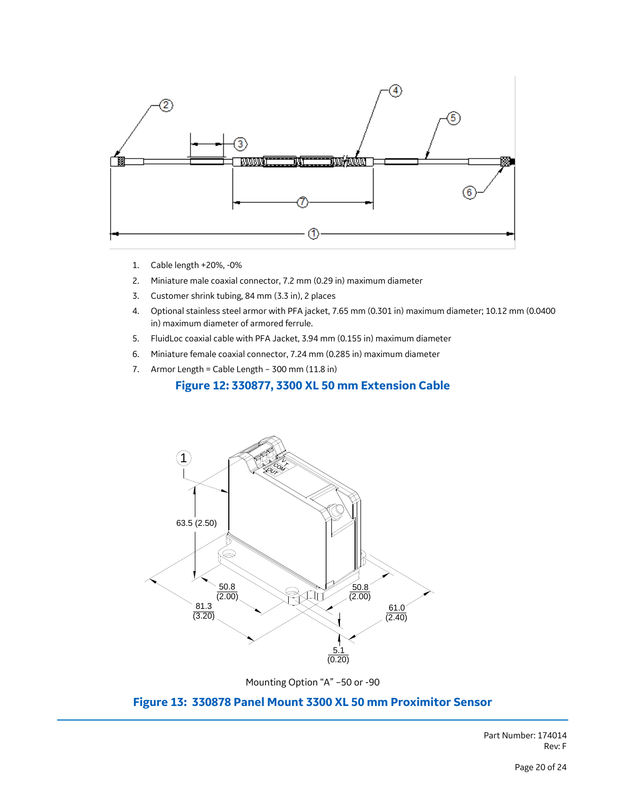

- 1. Cable length +20%, -0%
- 2. Miniature male coaxial connector, 7.2 mm (0.29 in) maximum diameter
- 3. Customer shrink tubing, 84 mm (3.3 in), 2 places
- 4. Optional stainless steel armor with PFA jacket, 7.65 mm (0.301 in) maximum diameter; 10.12 mm (0.0400 in) maximum diameter of armored ferrule.
- 5. FluidLoc coaxial cable with PFA Jacket, 3.94 mm (0.155 in) maximum diameter
- 6. Miniature female coaxial connector, 7.24 mm (0.285 in) maximum diameter
- 7. Armor Length = Cable Length 300 mm (11.8 in)

## **Figure 12: 330877, 3300 XL 50 mm Extension Cable**



Mounting Option "A" –50 or -90

## **Figure 13: 330878 Panel Mount 3300 XL 50 mm Proximitor Sensor**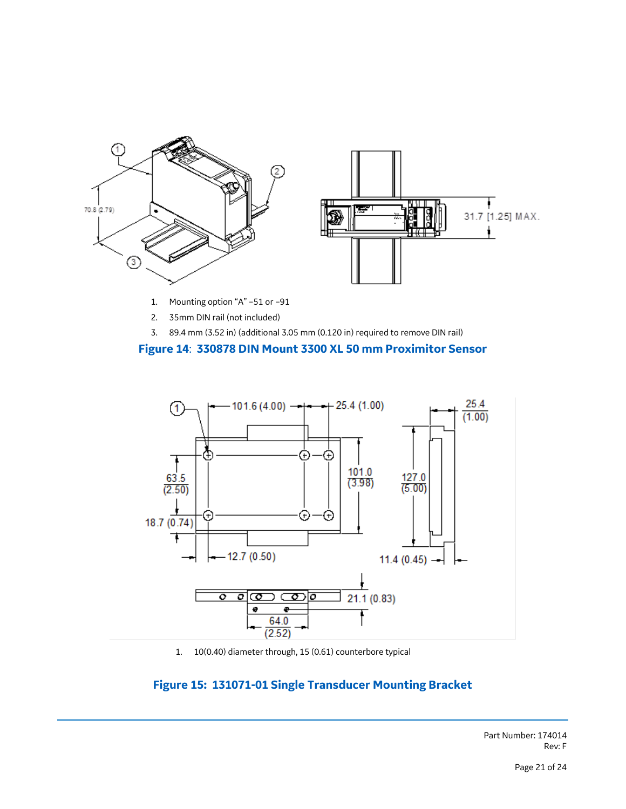

- 1. Mounting option "A" –51 or –91
- 2. 35mm DIN rail (not included)
- 3. 89.4 mm (3.52 in) (additional 3.05 mm (0.120 in) required to remove DIN rail)

#### **Figure 14**: **330878 DIN Mount 3300 XL 50 mm Proximitor Sensor**



1. 10(0.40) diameter through, 15 (0.61) counterbore typical

## **Figure 15: 131071-01 Single Transducer Mounting Bracket**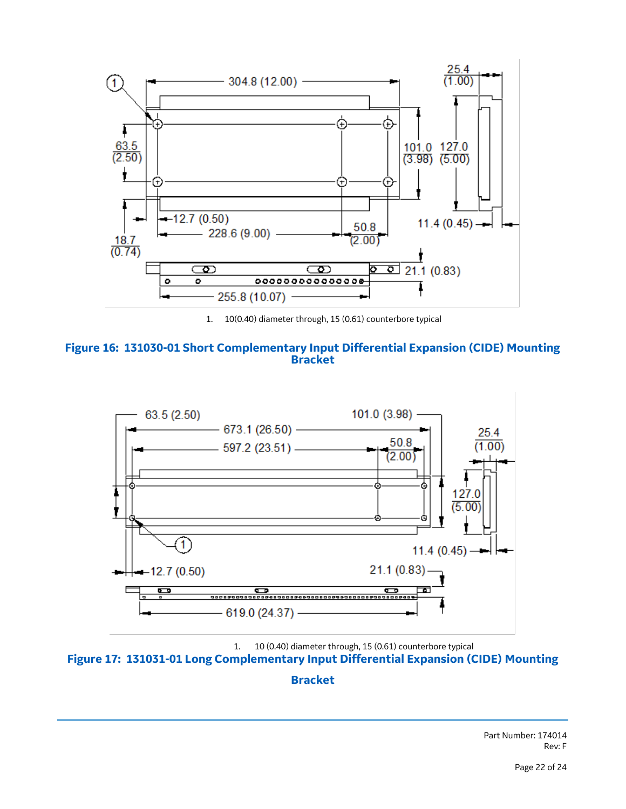

1. 10(0.40) diameter through, 15 (0.61) counterbore typical





1. 10 (0.40) diameter through, 15 (0.61) counterbore typical **Figure 17: 131031-01 Long Complementary Input Differential Expansion (CIDE) Mounting** 

### **Bracket**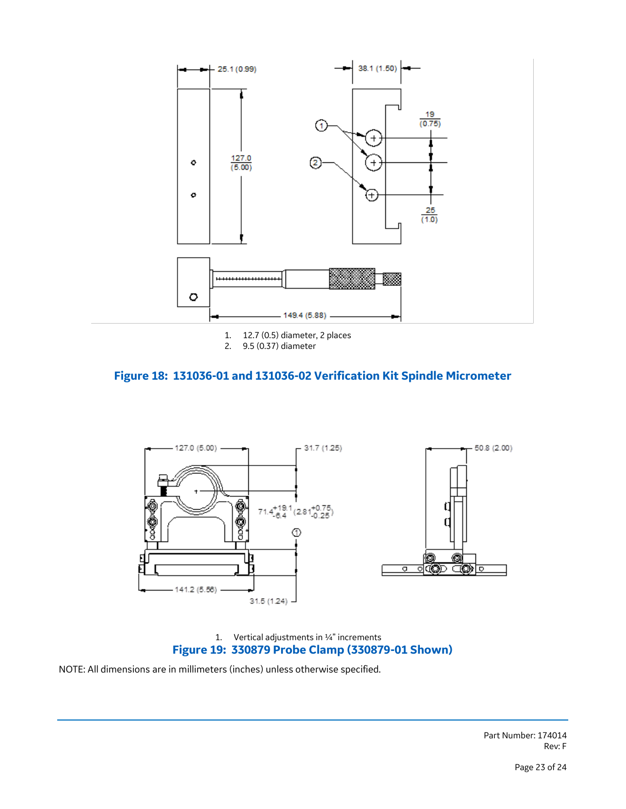

## **Figure 18: 131036-01 and 131036-02 Verification Kit Spindle Micrometer**



1. Vertical adjustments in ¼" increments **Figure 19: 330879 Probe Clamp (330879-01 Shown)** 

NOTE: All dimensions are in millimeters (inches) unless otherwise specified.